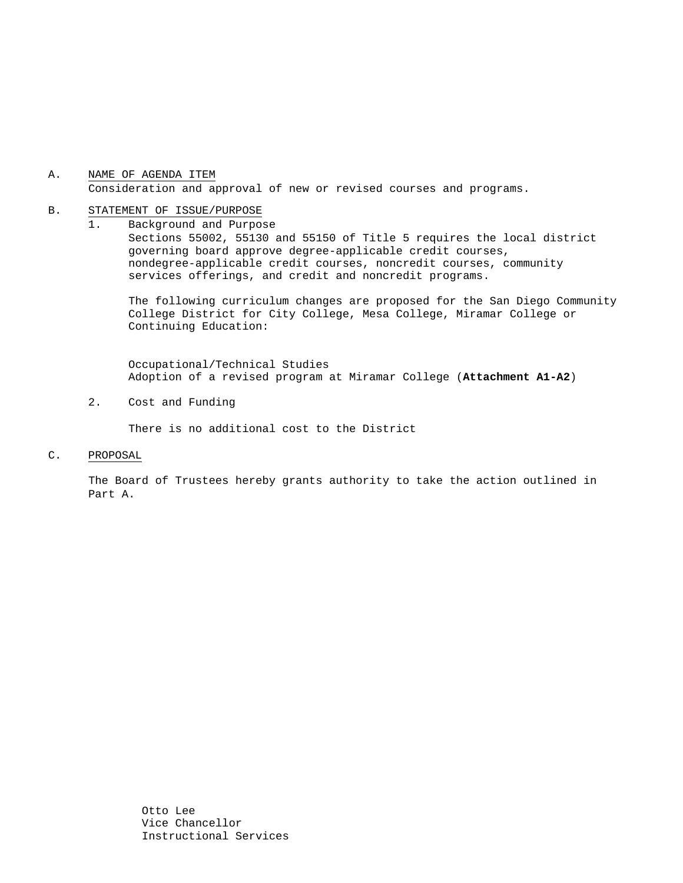## A. NAME OF AGENDA ITEM Consideration and approval of new or revised courses and programs.

#### B. STATEMENT OF ISSUE/PURPOSE

1. Background and Purpose Sections 55002, 55130 and 55150 of Title 5 requires the local district governing board approve degree-applicable credit courses, nondegree-applicable credit courses, noncredit courses, community services offerings, and credit and noncredit programs.

The following curriculum changes are proposed for the San Diego Community College District for City College, Mesa College, Miramar College or Continuing Education:

 Occupational/Technical Studies Adoption of a revised program at Miramar College (**Attachment A1-A2**)

2. Cost and Funding

There is no additional cost to the District

C. PROPOSAL

The Board of Trustees hereby grants authority to take the action outlined in Part A.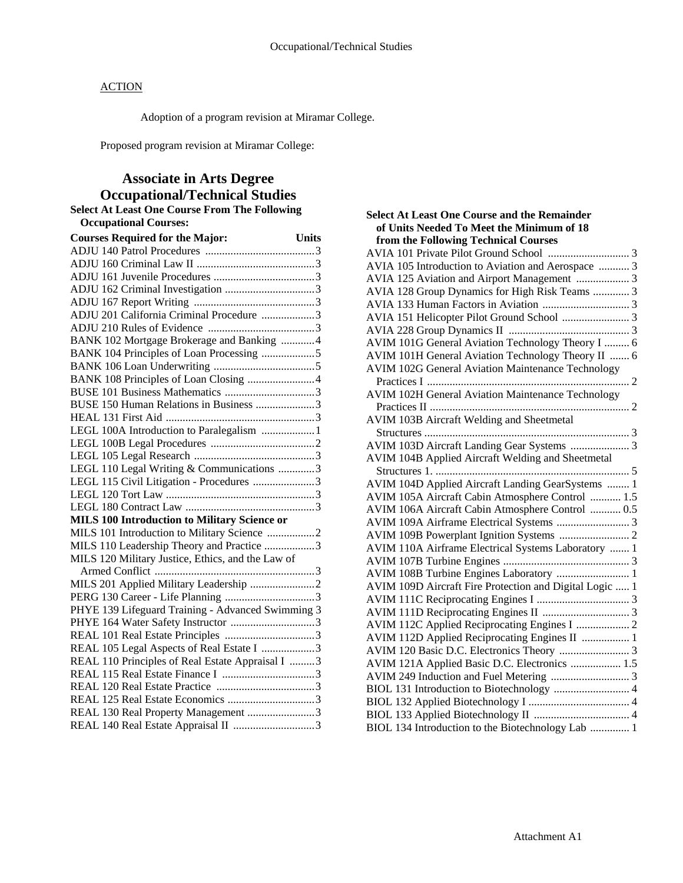# **ACTION**

Adoption of a program revision at Miramar College.

Proposed program revision at Miramar College:

# **Associate in Arts Degree Occupational/Technical Studies**

### **Select At Least One Course From The Following Occupational Courses:**

| <b>Courses Required for the Major:</b><br><b>Units</b> |
|--------------------------------------------------------|
|                                                        |
|                                                        |
|                                                        |
|                                                        |
|                                                        |
| ADJU 201 California Criminal Procedure 3               |
|                                                        |
| BANK 102 Mortgage Brokerage and Banking 4              |
| BANK 104 Principles of Loan Processing 5               |
|                                                        |
|                                                        |
|                                                        |
| BUSE 150 Human Relations in Business 3                 |
|                                                        |
| LEGL 100A Introduction to Paralegalism  1              |
|                                                        |
|                                                        |
| LEGL 110 Legal Writing & Communications 3              |
| LEGL 115 Civil Litigation - Procedures 3               |
|                                                        |
|                                                        |
| <b>MILS 100 Introduction to Military Science or</b>    |
| MILS 101 Introduction to Military Science 2            |
| MILS 110 Leadership Theory and Practice 3              |
| MILS 120 Military Justice, Ethics, and the Law of      |
|                                                        |
|                                                        |
|                                                        |
| PHYE 139 Lifeguard Training - Advanced Swimming 3      |
| PHYE 164 Water Safety Instructor 3                     |
|                                                        |
| REAL 105 Legal Aspects of Real Estate I 3              |
| REAL 110 Principles of Real Estate Appraisal I 3       |
|                                                        |
|                                                        |
|                                                        |
| REAL 130 Real Property Management 3                    |
|                                                        |

| <b>Select At Least One Course and the Remainder</b>      |
|----------------------------------------------------------|
| of Units Needed To Meet the Minimum of 18                |
| from the Following Technical Courses                     |
|                                                          |
| AVIA 105 Introduction to Aviation and Aerospace  3       |
| AVIA 125 Aviation and Airport Management  3              |
| AVIA 128 Group Dynamics for High Risk Teams  3           |
|                                                          |
|                                                          |
|                                                          |
| AVIM 101G General Aviation Technology Theory I  6        |
| AVIM 101H General Aviation Technology Theory II  6       |
| <b>AVIM 102G General Aviation Maintenance Technology</b> |
|                                                          |
| <b>AVIM 102H General Aviation Maintenance Technology</b> |
|                                                          |
| AVIM 103B Aircraft Welding and Sheetmetal                |
|                                                          |
| AVIM 103D Aircraft Landing Gear Systems  3               |
| AVIM 104B Applied Aircraft Welding and Sheetmetal        |
|                                                          |
| AVIM 104D Applied Aircraft Landing GearSystems  1        |
| AVIM 105A Aircraft Cabin Atmosphere Control  1.5         |
| AVIM 106A Aircraft Cabin Atmosphere Control  0.5         |
| AVIM 109A Airframe Electrical Systems  3                 |
|                                                          |
| AVIM 110A Airframe Electrical Systems Laboratory  1      |
|                                                          |
| AVIM 108B Turbine Engines Laboratory  1                  |
| AVIM 109D Aircraft Fire Protection and Digital Logic  1  |
|                                                          |
|                                                          |
|                                                          |
| AVIM 112D Applied Reciprocating Engines II  1            |
|                                                          |
| AVIM 121A Applied Basic D.C. Electronics  1.5            |
|                                                          |
|                                                          |
|                                                          |
|                                                          |
| BIOL 134 Introduction to the Biotechnology Lab  1        |